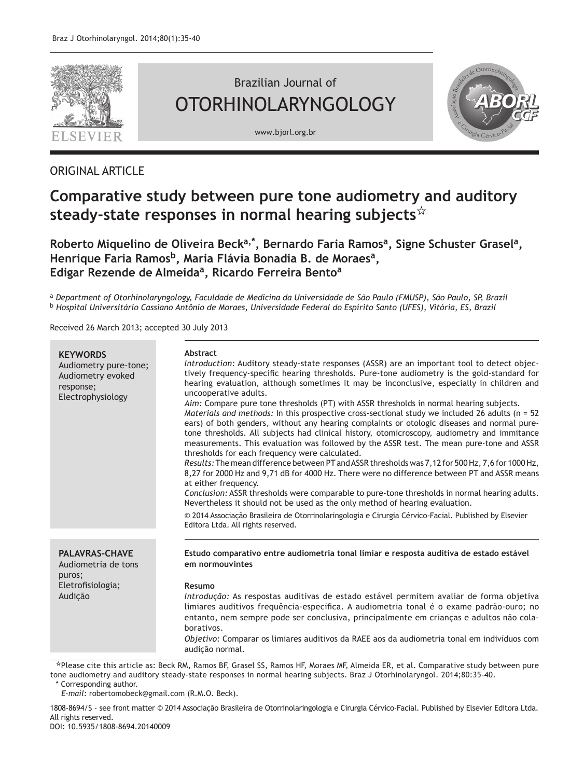

# Brazilian Journal of OTORHINOLARYNGOLOGY

www.bjorl.org.br



# ORIGINAL ARTICLE

# **Comparative study between pure tone audiometry and auditory steady-state responses in normal hearing subjects**

Roberto Miquelino de Oliveira Beck<sup>a,\*</sup>, Bernardo Faria Ramos<sup>a</sup>, Signe Schuster Grasel<sup>a</sup>, Henrique Faria Ramos<sup>b</sup>, Maria Flávia Bonadia B. de Moraes<sup>a</sup>, **Edigar Rezende de Almeidaa, Ricardo Ferreira Bentoa**

<sup>a</sup> *Department of Otorhinolaryngology, Faculdade de Medicina da Universidade de São Paulo (FMUSP), São Paulo, SP, Brazil* <sup>b</sup> *Hospital Universitário Cassiano Antônio de Moraes, Universidade Federal do Espírito Santo (UFES), Vitória, ES, Brazil*

Received 26 March 2013; accepted 30 July 2013

| <b>KEYWORDS</b><br>Audiometry pure-tone;<br>Audiometry evoked<br>response;<br>Electrophysiology   | Abstract<br>Introduction: Auditory steady-state responses (ASSR) are an important tool to detect objec-<br>tively frequency-specific hearing thresholds. Pure-tone audiometry is the gold-standard for<br>hearing evaluation, although sometimes it may be inconclusive, especially in children and<br>uncooperative adults.<br>Aim: Compare pure tone thresholds (PT) with ASSR thresholds in normal hearing subjects.<br>Materials and methods: In this prospective cross-sectional study we included 26 adults ( $n = 52$ )<br>ears) of both genders, without any hearing complaints or otologic diseases and normal pure-<br>tone thresholds. All subjects had clinical history, otomicroscopy, audiometry and immitance<br>measurements. This evaluation was followed by the ASSR test. The mean pure-tone and ASSR<br>thresholds for each frequency were calculated.<br>Results: The mean difference between PT and ASSR thresholds was 7,12 for 500 Hz, 7,6 for 1000 Hz,<br>8,27 for 2000 Hz and 9,71 dB for 4000 Hz. There were no difference between PT and ASSR means<br>at either frequency.<br>Conclusion: ASSR thresholds were comparable to pure-tone thresholds in normal hearing adults.<br>Nevertheless it should not be used as the only method of hearing evaluation.<br>© 2014 Associação Brasileira de Otorrinolaringologia e Cirurgia Cérvico-Facial. Published by Elsevier<br>Editora Ltda. All rights reserved. |
|---------------------------------------------------------------------------------------------------|-----------------------------------------------------------------------------------------------------------------------------------------------------------------------------------------------------------------------------------------------------------------------------------------------------------------------------------------------------------------------------------------------------------------------------------------------------------------------------------------------------------------------------------------------------------------------------------------------------------------------------------------------------------------------------------------------------------------------------------------------------------------------------------------------------------------------------------------------------------------------------------------------------------------------------------------------------------------------------------------------------------------------------------------------------------------------------------------------------------------------------------------------------------------------------------------------------------------------------------------------------------------------------------------------------------------------------------------------------------------------------------------------------------------------------------------|
| <b>PALAVRAS-CHAVE</b><br>Audiometria de tons<br>puros;<br>Eletrofisiologia;<br>Audição<br>، ۔ باب | Estudo comparativo entre audiometria tonal limiar e resposta auditiva de estado estável<br>em normouvintes<br>Resumo<br>Introdução: As respostas auditivas de estado estável permitem avaliar de forma objetiva<br>limiares auditivos freguência-específica. A audiometria tonal é o exame padrão-ouro; no<br>entanto, nem sempre pode ser conclusiva, principalmente em crianças e adultos não cola-<br>borativos.<br>Objetivo: Comparar os limiares auditivos da RAEE aos da audiometria tonal em indivíduos com<br>audição normal.                                                                                                                                                                                                                                                                                                                                                                                                                                                                                                                                                                                                                                                                                                                                                                                                                                                                                                   |

Please cite this article as: Beck RM, Ramos BF, Grasel SS, Ramos HF, Moraes MF, Almeida ER, et al. Comparative study between pure tone audiometry and auditory steady-state responses in normal hearing subjects. Braz J Otorhinolaryngol. 2014;80:35-40. Corresponding author.

*E-mail:* robertomobeck@gmail.com (R.M.O. Beck).

1808-8694/\$ - see front matter © 2014 Associação Brasileira de Otorrinolaringologia e Cirurgia Cérvico-Facial. Published by Elsevier Editora Ltda. All rights reserved.

DOI: 10.5935/1808-8694.20140009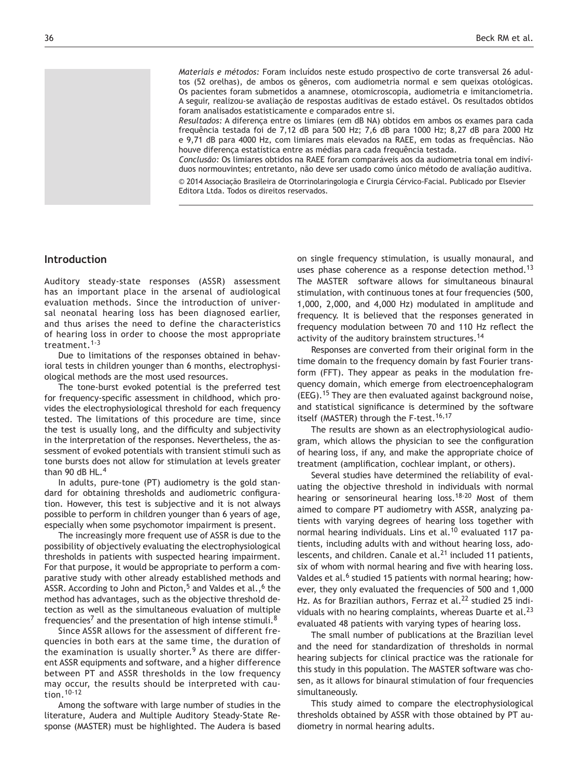*Materiais e métodos:* Foram incluídos neste estudo prospectivo de corte transversal 26 adultos (52 orelhas), de ambos os gêneros, com audiometria normal e sem queixas otológicas. Os pacientes foram submetidos a anamnese, otomicroscopia, audiometria e imitanciometria. A seguir, realizou-se avaliação de respostas auditivas de estado estável. Os resultados obtidos foram analisados estatisticamente e comparados entre si.

*Resultados:* A diferença entre os limiares (em dB NA) obtidos em ambos os exames para cada frequência testada foi de 7,12 dB para 500 Hz; 7,6 dB para 1000 Hz; 8,27 dB para 2000 Hz e 9,71 dB para 4000 Hz, com limiares mais elevados na RAEE, em todas as frequências. Não houve diferença estatística entre as médias para cada frequência testada.

*Conclusão:* Os limiares obtidos na RAEE foram comparáveis aos da audiometria tonal em indivíduos normouvintes; entretanto, não deve ser usado como único método de avaliação auditiva.

© 2014 Associação Brasileira de Otorrinolaringologia e Cirurgia Cérvico-Facial. Publicado por Elsevier Editora Ltda. Todos os direitos reservados.

# **Introduction**

Auditory steady-state responses (ASSR) assessment has an important place in the arsenal of audiological evaluation methods. Since the introduction of universal neonatal hearing loss has been diagnosed earlier, and thus arises the need to define the characteristics of hearing loss in order to choose the most appropriate treatment.1-3

Due to limitations of the responses obtained in behavioral tests in children younger than 6 months, electrophysiological methods are the most used resources.

The tone-burst evoked potential is the preferred test for frequency-specific assessment in childhood, which provides the electrophysiological threshold for each frequency tested. The limitations of this procedure are time, since the test is usually long, and the difficulty and subjectivity in the interpretation of the responses. Nevertheless, the assessment of evoked potentials with transient stimuli such as tone bursts does not allow for stimulation at levels greater than 90 dB  $HL<sup>4</sup>$ 

In adults, pure-tone (PT) audiometry is the gold standard for obtaining thresholds and audiometric configuration. However, this test is subjective and it is not always possible to perform in children younger than 6 years of age, especially when some psychomotor impairment is present.

The increasingly more frequent use of ASSR is due to the possibility of objectively evaluating the electrophysiological thresholds in patients with suspected hearing impairment. For that purpose, it would be appropriate to perform a comparative study with other already established methods and ASSR. According to John and Picton,<sup>5</sup> and Valdes et al.,<sup>6</sup> the method has advantages, such as the objective threshold detection as well as the simultaneous evaluation of multiple frequencies<sup>7</sup> and the presentation of high intense stimuli.<sup>8</sup>

Since ASSR allows for the assessment of different frequencies in both ears at the same time, the duration of the examination is usually shorter.<sup>9</sup> As there are different ASSR equipments and software, and a higher difference between PT and ASSR thresholds in the low frequency may occur, the results should be interpreted with caution.10-12

Among the software with large number of studies in the literature, Audera and Multiple Auditory Steady-State Response (MASTER) must be highlighted. The Audera is based

on single frequency stimulation, is usually monaural, and uses phase coherence as a response detection method.<sup>13</sup> The MASTER software allows for simultaneous binaural stimulation, with continuous tones at four frequencies (500, 1,000, 2,000, and 4,000 Hz) modulated in amplitude and frequency. It is believed that the responses generated in frequency modulation between 70 and 110 Hz reflect the activity of the auditory brainstem structures.<sup>14</sup>

Responses are converted from their original form in the time domain to the frequency domain by fast Fourier transform (FFT). They appear as peaks in the modulation frequency domain, which emerge from electroencephalogram (EEG).15 They are then evaluated against background noise, and statistical significance is determined by the software itself (MASTER) through the F-test.<sup>16,17</sup>

The results are shown as an electrophysiological audiogram, which allows the physician to see the configuration of hearing loss, if any, and make the appropriate choice of treatment (amplification, cochlear implant, or others).

Several studies have determined the reliability of evaluating the objective threshold in individuals with normal hearing or sensorineural hearing loss.<sup>18-20</sup> Most of them aimed to compare PT audiometry with ASSR, analyzing patients with varying degrees of hearing loss together with normal hearing individuals. Lins et al.<sup>10</sup> evaluated 117 patients, including adults with and without hearing loss, adolescents, and children. Canale et al. $<sup>21</sup>$  included 11 patients,</sup> six of whom with normal hearing and five with hearing loss. Valdes et al.<sup>6</sup> studied 15 patients with normal hearing; however, they only evaluated the frequencies of 500 and 1,000 Hz. As for Brazilian authors, Ferraz et al.<sup>22</sup> studied 25 individuals with no hearing complaints, whereas Duarte et al. $^{23}$ evaluated 48 patients with varying types of hearing loss.

The small number of publications at the Brazilian level and the need for standardization of thresholds in normal hearing subjects for clinical practice was the rationale for this study in this population. The MASTER software was chosen, as it allows for binaural stimulation of four frequencies simultaneously.

This study aimed to compare the electrophysiological thresholds obtained by ASSR with those obtained by PT audiometry in normal hearing adults.

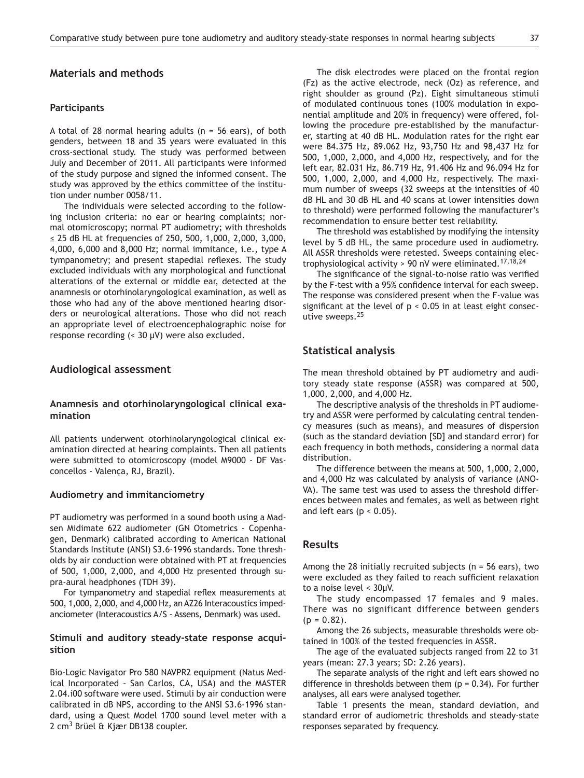#### **Materials and methods**

#### **Participants**

A total of 28 normal hearing adults ( $n = 56$  ears), of both genders, between 18 and 35 years were evaluated in this cross-sectional study. The study was performed between July and December of 2011. All participants were informed of the study purpose and signed the informed consent. The study was approved by the ethics committee of the institution under number 0058/11.

The individuals were selected according to the following inclusion criteria: no ear or hearing complaints; normal otomicroscopy; normal PT audiometry; with thresholds ≤ 25 dB HL at frequencies of 250, 500, 1,000, 2,000, 3,000, 4,000, 6,000 and 8,000 Hz; normal immitance, i.e., type A tympanometry; and present stapedial reflexes. The study excluded individuals with any morphological and functional alterations of the external or middle ear, detected at the anamnesis or otorhinolaryngological examination, as well as those who had any of the above mentioned hearing disorders or neurological alterations. Those who did not reach an appropriate level of electroencephalographic noise for response recording (< 30 μV) were also excluded.

#### **Audiological assessment**

#### **Anamnesis and otorhinolaryngological clinical examination**

All patients underwent otorhinolaryngological clinical examination directed at hearing complaints. Then all patients were submitted to otomicroscopy (model M9000 - DF Vasconcellos - Valença, RJ, Brazil).

#### **Audiometry and immitanciometry**

PT audiometry was performed in a sound booth using a Madsen Midimate 622 audiometer (GN Otometrics - Copenhagen, Denmark) calibrated according to American National Standards Institute (ANSI) S3.6-1996 standards. Tone thresholds by air conduction were obtained with PT at frequencies of 500, 1,000, 2,000, and 4,000 Hz presented through supra-aural headphones (TDH 39).

For tympanometry and stapedial reflex measurements at 500, 1,000, 2,000, and 4,000 Hz, an AZ26 Interacoustics impedanciometer (Interacoustics A/S - Assens, Denmark) was used.

#### **Stimuli and auditory steady-state response acquisition**

Bio-Logic Navigator Pro 580 NAVPR2 equipment (Natus Medical Incorporated - San Carlos, CA, USA) and the MASTER 2.04.i00 software were used. Stimuli by air conduction were calibrated in dB NPS, according to the ANSI S3.6-1996 standard, using a Quest Model 1700 sound level meter with a 2 cm3 Brüel & Kjær DB138 coupler.

The disk electrodes were placed on the frontal region (Fz) as the active electrode, neck (Oz) as reference, and right shoulder as ground (Pz). Eight simultaneous stimuli of modulated continuous tones (100% modulation in exponential amplitude and 20% in frequency) were offered, following the procedure pre-established by the manufacturer, starting at 40 dB HL. Modulation rates for the right ear were 84.375 Hz, 89.062 Hz, 93,750 Hz and 98,437 Hz for 500, 1,000, 2,000, and 4,000 Hz, respectively, and for the left ear, 82.031 Hz, 86.719 Hz, 91.406 Hz and 96.094 Hz for 500, 1,000, 2,000, and 4,000 Hz, respectively. The maximum number of sweeps (32 sweeps at the intensities of 40 dB HL and 30 dB HL and 40 scans at lower intensities down to threshold) were performed following the manufacturer's recommendation to ensure better test reliability.

The threshold was established by modifying the intensity level by 5 dB HL, the same procedure used in audiometry. All ASSR thresholds were retested. Sweeps containing electrophysiological activity > 90 nV were eliminated.<sup>17,18,24</sup>

The significance of the signal-to-noise ratio was verified by the F-test with a 95% confidence interval for each sweep. The response was considered present when the F-value was significant at the level of  $p < 0.05$  in at least eight consecutive sweeps.<sup>25</sup>

#### **Statistical analysis**

The mean threshold obtained by PT audiometry and auditory steady state response (ASSR) was compared at 500, 1,000, 2,000, and 4,000 Hz.

The descriptive analysis of the thresholds in PT audiometry and ASSR were performed by calculating central tendency measures (such as means), and measures of dispersion (such as the standard deviation [SD] and standard error) for each frequency in both methods, considering a normal data distribution.

The difference between the means at 500, 1,000, 2,000, and 4,000 Hz was calculated by analysis of variance (ANO-VA). The same test was used to assess the threshold differences between males and females, as well as between right and left ears ( $p < 0.05$ ).

## **Results**

Among the 28 initially recruited subjects ( $n = 56$  ears), two were excluded as they failed to reach sufficient relaxation to a noise level < 30μV.

The study encompassed 17 females and 9 males. There was no significant difference between genders  $(p = 0.82)$ .

Among the 26 subjects, measurable thresholds were obtained in 100% of the tested frequencies in ASSR.

The age of the evaluated subjects ranged from 22 to 31 years (mean: 27.3 years; SD: 2.26 years).

The separate analysis of the right and left ears showed no difference in thresholds between them  $(p = 0.34)$ . For further analyses, all ears were analysed together.

Table 1 presents the mean, standard deviation, and standard error of audiometric thresholds and steady-state responses separated by frequency.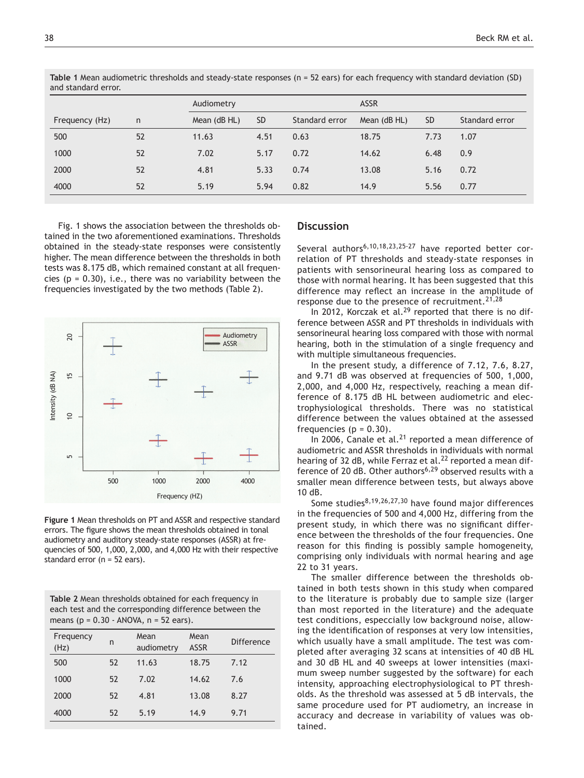| dilu staliudiu eribi. |    |              |           |                |              |             |                |  |  |
|-----------------------|----|--------------|-----------|----------------|--------------|-------------|----------------|--|--|
|                       |    | Audiometry   |           |                |              | <b>ASSR</b> |                |  |  |
| Frequency (Hz)        | n  | Mean (dB HL) | <b>SD</b> | Standard error | Mean (dB HL) | <b>SD</b>   | Standard error |  |  |
| 500                   | 52 | 11.63        | 4.51      | 0.63           | 18.75        | 7.73        | 1.07           |  |  |
| 1000                  | 52 | 7.02         | 5.17      | 0.72           | 14.62        | 6.48        | 0.9            |  |  |
| 2000                  | 52 | 4.81         | 5.33      | 0.74           | 13.08        | 5.16        | 0.72           |  |  |
| 4000                  | 52 | 5.19         | 5.94      | 0.82           | 14.9         | 5.56        | 0.77           |  |  |
|                       |    |              |           |                |              |             |                |  |  |

**Table 1** Mean audiometric thresholds and steady-state responses (n = 52 ears) for each frequency with standard deviation (SD) and standard error.

Fig. 1 shows the association between the thresholds obtained in the two aforementioned examinations. Thresholds obtained in the steady-state responses were consistently higher. The mean difference between the thresholds in both tests was 8.175 dB, which remained constant at all frequencies ( $p = 0.30$ ), i.e., there was no variability between the frequencies investigated by the two methods (Table 2).



**Figure 1** Mean thresholds on PT and ASSR and respective standard errors. The figure shows the mean thresholds obtained in tonal audiometry and auditory steady-state responses (ASSR) at frequencies of 500, 1,000, 2,000, and 4,000 Hz with their respective standard error (n = 52 ears).

| Table 2 Mean thresholds obtained for each frequency in |
|--------------------------------------------------------|
| each test and the corresponding difference between the |
| means ( $p = 0.30 - ANOVA$ , $n = 52$ ears).           |

| Frequency<br>(Hz) | n  | Mean<br>audiometry | Mean<br><b>ASSR</b> | Difference |
|-------------------|----|--------------------|---------------------|------------|
| 500               | 52 | 11.63              | 18.75               | 7.12       |
| 1000              | 52 | 7.02               | 14.62               | 7.6        |
| 2000              | 52 | 4.81               | 13.08               | 8.27       |
| 4000              | 52 | 5.19               | 14.9                | 9.71       |

#### **Discussion**

Several authors<sup>6,10,18,23,25-27</sup> have reported better correlation of PT thresholds and steady-state responses in patients with sensorineural hearing loss as compared to those with normal hearing. It has been suggested that this difference may reflect an increase in the amplitude of response due to the presence of recruitment.  $21,28$ 

In 2012, Korczak et al. $^{29}$  reported that there is no difference between ASSR and PT thresholds in individuals with sensorineural hearing loss compared with those with normal hearing, both in the stimulation of a single frequency and with multiple simultaneous frequencies.

In the present study, a difference of 7.12, 7.6, 8.27, and 9.71 dB was observed at frequencies of 500, 1,000, 2,000, and 4,000 Hz, respectively, reaching a mean difference of 8.175 dB HL between audiometric and electrophysiological thresholds. There was no statistical difference between the values obtained at the assessed frequencies ( $p = 0.30$ ).

In 2006, Canale et al. $21$  reported a mean difference of audiometric and ASSR thresholds in individuals with normal hearing of 32 dB, while Ferraz et al.<sup>22</sup> reported a mean difference of 20 dB. Other authors<sup>6,29</sup> observed results with a smaller mean difference between tests, but always above 10 dB.

Some studies $8,19,26,27,30$  have found major differences in the frequencies of 500 and 4,000 Hz, differing from the present study, in which there was no significant difference between the thresholds of the four frequencies. One reason for this finding is possibly sample homogeneity, comprising only individuals with normal hearing and age 22 to 31 years.

The smaller difference between the thresholds obtained in both tests shown in this study when compared to the literature is probably due to sample size (larger than most reported in the literature) and the adequate test conditions, especcially low background noise, allowing the identification of responses at very low intensities, which usually have a small amplitude. The test was completed after averaging 32 scans at intensities of 40 dB HL and 30 dB HL and 40 sweeps at lower intensities (maximum sweep number suggested by the software) for each intensity, approaching electrophysiological to PT thresholds. As the threshold was assessed at 5 dB intervals, the same procedure used for PT audiometry, an increase in accuracy and decrease in variability of values was obtained.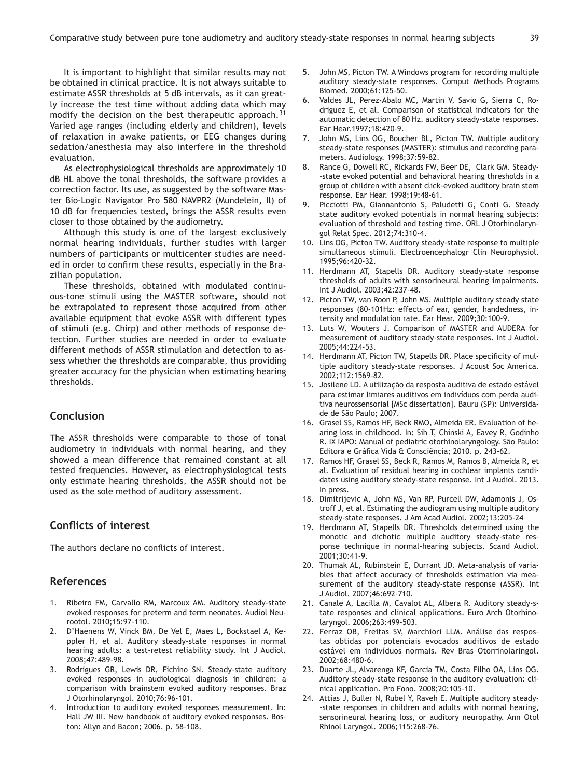It is important to highlight that similar results may not be obtained in clinical practice. It is not always suitable to estimate ASSR thresholds at 5 dB intervals, as it can greatly increase the test time without adding data which may modify the decision on the best therapeutic approach.<sup>31</sup> Varied age ranges (including elderly and children), levels of relaxation in awake patients, or EEG changes during sedation/anesthesia may also interfere in the threshold evaluation.

As electrophysiological thresholds are approximately 10 dB HL above the tonal thresholds, the software provides a correction factor. Its use, as suggested by the software Master Bio-Logic Navigator Pro 580 NAVPR2 (Mundelein, Il) of 10 dB for frequencies tested, brings the ASSR results even closer to those obtained by the audiometry.

Although this study is one of the largest exclusively normal hearing individuals, further studies with larger numbers of participants or multicenter studies are needed in order to confirm these results, especially in the Brazilian population.

These thresholds, obtained with modulated continuous-tone stimuli using the MASTER software, should not be extrapolated to represent those acquired from other available equipment that evoke ASSR with different types of stimuli (e.g. Chirp) and other methods of response detection. Further studies are needed in order to evaluate different methods of ASSR stimulation and detection to assess whether the thresholds are comparable, thus providing greater accuracy for the physician when estimating hearing thresholds.

### **Conclusion**

The ASSR thresholds were comparable to those of tonal audiometry in individuals with normal hearing, and they showed a mean difference that remained constant at all tested frequencies. However, as electrophysiological tests only estimate hearing thresholds, the ASSR should not be used as the sole method of auditory assessment.

# **Conflicts of interest**

The authors declare no conflicts of interest.

### **References**

- 1. Ribeiro FM, Carvallo RM, Marcoux AM. Auditory steady-state evoked responses for preterm and term neonates. Audiol Neurootol. 2010;15:97-110.
- 2. D'Haenens W, Vinck BM, De Vel E, Maes L, Bockstael A, Keppler H, et al. Auditory steady-state responses in normal hearing adults: a test-retest reliability study. Int J Audiol. 2008;47:489-98.
- 3. Rodrigues GR, Lewis DR, Fichino SN. Steady-state auditory evoked responses in audiological diagnosis in children: a comparison with brainstem evoked auditory responses. Braz J Otorhinolaryngol. 2010;76:96-101.
- 4. Introduction to auditory evoked responses measurement. In: Hall JW III. New handbook of auditory evoked responses. Boston: Allyn and Bacon; 2006. p. 58-108.
- John MS, Picton TW. A Windows program for recording multiple auditory steady-state responses. Comput Methods Programs Biomed. 2000;61:125-50.
- 6. Valdes JL, Perez-Abalo MC, Martin V, Savio G, Sierra C, Rodriguez E, et al. Comparison of statistical indicators for the automatic detection of 80 Hz. auditory steady-state responses. Ear Hear.1997;18:420-9.
- 7. John MS, Lins OG, Boucher BL, Picton TW. Multiple auditory steady-state responses (MASTER): stimulus and recording parameters. Audiology. 1998;37:59-82.
- 8. Rance G, Dowell RC, Rickards FW, Beer DE, Clark GM. Steady- -state evoked potential and behavioral hearing thresholds in a group of children with absent click-evoked auditory brain stem response. Ear Hear. 1998;19:48-61.
- Picciotti PM, Giannantonio S, Paludetti G, Conti G. Steady state auditory evoked potentials in normal hearing subjects: evaluation of threshold and testing time. ORL J Otorhinolaryngol Relat Spec. 2012;74:310-4.
- 10. Lins OG, Picton TW. Auditory steady-state response to multiple simultaneous stimuli. Electroencephalogr Clin Neurophysiol. 1995;96:420-32.
- 11. Herdmann AT, Stapells DR. Auditory steady-state response thresholds of adults with sensorineural hearing impairments. Int J Audiol. 2003;42:237-48.
- 12. Picton TW, van Roon P, John MS. Multiple auditory steady state responses (80-101Hz: effects of ear, gender, handedness, intensity and modulation rate. Ear Hear. 2009;30:100-9.
- 13. Luts W, Wouters J. Comparison of MASTER and AUDERA for measurement of auditory steady-state responses. Int J Audiol. 2005;44:224-53.
- 14. Herdmann AT, Picton TW, Stapells DR. Place specificity of multiple auditory steady-state responses. J Acoust Soc America. 2002;112:1569-82.
- 15. Josilene LD. A utilização da resposta auditiva de estado estável para estimar limiares auditivos em indivíduos com perda auditiva neurossensorial [MSc dissertation]. Bauru (SP): Universidade de São Paulo; 2007.
- 16. Grasel SS, Ramos HF, Beck RMO, Almeida ER. Evaluation of hearing loss in childhood. In: Sih T, Chinski A, Eavey R, Godinho R. IX IAPO: Manual of pediatric otorhinolaryngology. São Paulo: Editora e Gráfica Vida & Consciência; 2010. p. 243-62.
- 17. Ramos HF, Grasel SS, Beck R, Ramos M, Ramos B, Almeida R, et al. Evaluation of residual hearing in cochlear implants candidates using auditory steady-state response. Int J Audiol. 2013. In press.
- 18. Dimitrijevic A, John MS, Van RP, Purcell DW, Adamonis J, Ostroff J, et al. Estimating the audiogram using multiple auditory steady-state responses. J Am Acad Audiol. 2002;13:205-24
- 19. Herdmann AT, Stapells DR. Thresholds determined using the monotic and dichotic multiple auditory steady-state response technique in normal-hearing subjects. Scand Audiol. 2001;30:41-9.
- 20. Thumak AL, Rubinstein E, Durrant JD. Meta-analysis of variables that affect accuracy of thresholds estimation via measurement of the auditory steady-state response (ASSR). Int J Audiol. 2007;46:692-710.
- 21. Canale A, Lacilla M, Cavalot AL, Albera R. Auditory steady-state responses and clinical applications. Euro Arch Otorhinolaryngol. 2006;263:499-503.
- 22. Ferraz OB, Freitas SV, Marchiori LLM. Análise das respostas obtidas por potenciais evocados auditivos de estado estável em indivíduos normais. Rev Bras Otorrinolaringol. 2002;68:480-6.
- 23. Duarte JL, Alvarenga KF, Garcia TM, Costa Filho OA, Lins OG. Auditory steady-state response in the auditory evaluation: clinical application. Pro Fono. 2008;20:105-10.
- 24. Attias J, Buller N, Rubel Y, Raveh E. Multiple auditory steady- -state responses in children and adults with normal hearing, sensorineural hearing loss, or auditory neuropathy. Ann Otol Rhinol Laryngol. 2006;115:268-76.